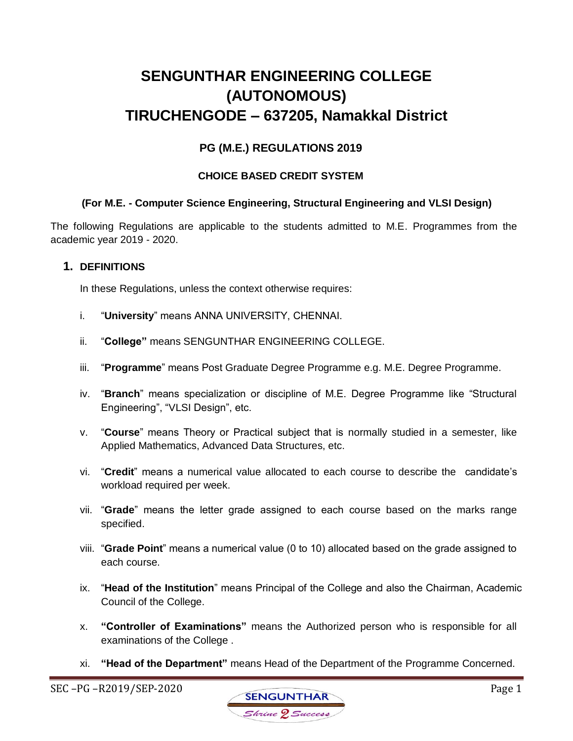# **SENGUNTHAR ENGINEERING COLLEGE (AUTONOMOUS) TIRUCHENGODE – 637205, Namakkal District**

# **PG (M.E.) REGULATIONS 2019**

### **CHOICE BASED CREDIT SYSTEM**

### **(For M.E. - Computer Science Engineering, Structural Engineering and VLSI Design)**

The following Regulations are applicable to the students admitted to M.E. Programmes from the academic year 2019 - 2020.

### **1. DEFINITIONS**

In these Regulations, unless the context otherwise requires:

- i. "**University**" means ANNA UNIVERSITY, CHENNAI.
- ii. "**College"** means SENGUNTHAR ENGINEERING COLLEGE.
- iii. "**Programme**" means Post Graduate Degree Programme e.g. M.E. Degree Programme.
- iv. "**Branch**" means specialization or discipline of M.E. Degree Programme like "Structural Engineering", "VLSI Design", etc.
- v. "**Course**" means Theory or Practical subject that is normally studied in a semester, like Applied Mathematics, Advanced Data Structures, etc.
- vi. "**Credit**" means a numerical value allocated to each course to describe the candidate's workload required per week.
- vii. "**Grade**" means the letter grade assigned to each course based on the marks range specified.
- viii. "**Grade Point**" means a numerical value (0 to 10) allocated based on the grade assigned to each course.
- ix. "**Head of the Institution**" means Principal of the College and also the Chairman, Academic Council of the College.
- x. **"Controller of Examinations"** means the Authorized person who is responsible for all examinations of the College .
- xi. **"Head of the Department"** means Head of the Department of the Programme Concerned.

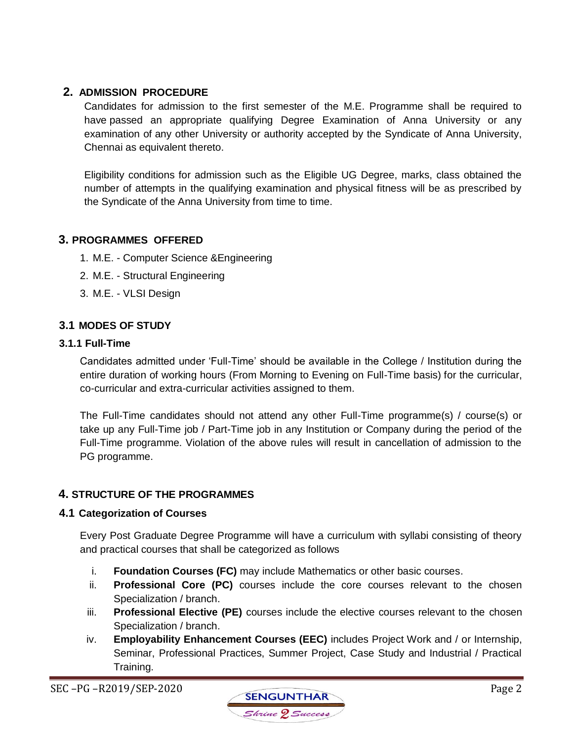# **2. ADMISSION PROCEDURE**

Candidates for admission to the first semester of the M.E. Programme shall be required to have passed an appropriate qualifying Degree Examination of Anna University or any examination of any other University or authority accepted by the Syndicate of Anna University, Chennai as equivalent thereto.

Eligibility conditions for admission such as the Eligible UG Degree, marks, class obtained the number of attempts in the qualifying examination and physical fitness will be as prescribed by the Syndicate of the Anna University from time to time.

# **3. PROGRAMMES OFFERED**

- 1. M.E. Computer Science &Engineering
- 2. M.E. Structural Engineering
- 3. M.E. VLSI Design

# **3.1 MODES OF STUDY**

### **3.1.1 Full-Time**

Candidates admitted under 'Full-Time' should be available in the College / Institution during the entire duration of working hours (From Morning to Evening on Full-Time basis) for the curricular, co-curricular and extra-curricular activities assigned to them.

The Full-Time candidates should not attend any other Full-Time programme(s) / course(s) or take up any Full-Time job / Part-Time job in any Institution or Company during the period of the Full-Time programme. Violation of the above rules will result in cancellation of admission to the PG programme.

# **4. STRUCTURE OF THE PROGRAMMES**

### **4.1 Categorization of Courses**

Every Post Graduate Degree Programme will have a curriculum with syllabi consisting of theory and practical courses that shall be categorized as follows

- i. **Foundation Courses (FC)** may include Mathematics or other basic courses.
- ii. **Professional Core (PC)** courses include the core courses relevant to the chosen Specialization / branch.
- iii. **Professional Elective (PE)** courses include the elective courses relevant to the chosen Specialization / branch.
- iv. **Employability Enhancement Courses (EEC)** includes Project Work and / or Internship, Seminar, Professional Practices, Summer Project, Case Study and Industrial / Practical Training.

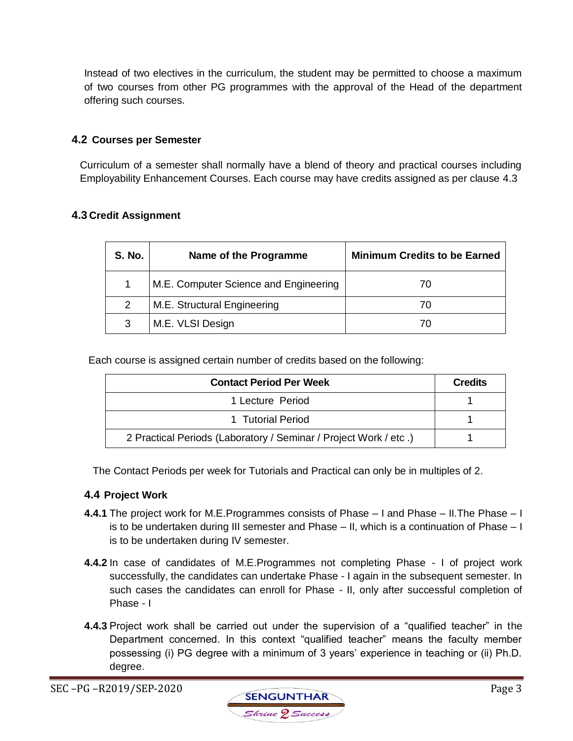Instead of two electives in the curriculum, the student may be permitted to choose a maximum of two courses from other PG programmes with the approval of the Head of the department offering such courses.

### **4.2 Courses per Semester**

Curriculum of a semester shall normally have a blend of theory and practical courses including Employability Enhancement Courses. Each course may have credits assigned as per clause 4.3

### **4.3 Credit Assignment**

| <b>S. No.</b> | Name of the Programme                 | <b>Minimum Credits to be Earned</b> |
|---------------|---------------------------------------|-------------------------------------|
|               | M.E. Computer Science and Engineering |                                     |
| 2             | M.E. Structural Engineering           |                                     |
| 3             | M.E. VLSI Design                      |                                     |

Each course is assigned certain number of credits based on the following:

| <b>Contact Period Per Week</b>                                   | <b>Credits</b> |
|------------------------------------------------------------------|----------------|
| 1 Lecture Period                                                 |                |
| 1 Tutorial Period                                                |                |
| 2 Practical Periods (Laboratory / Seminar / Project Work / etc.) |                |

The Contact Periods per week for Tutorials and Practical can only be in multiples of 2.

### **4.4 Project Work**

- **4.4.1** The project work for M.E.Programmes consists of Phase I and Phase II.The Phase I is to be undertaken during III semester and Phase – II, which is a continuation of Phase – I is to be undertaken during IV semester.
- **4.4.2** In case of candidates of M.E.Programmes not completing Phase I of project work successfully, the candidates can undertake Phase - I again in the subsequent semester. In such cases the candidates can enroll for Phase - II, only after successful completion of Phase - I
- **4.4.3** Project work shall be carried out under the supervision of a "qualified teacher" in the Department concerned. In this context "qualified teacher" means the faculty member possessing (i) PG degree with a minimum of 3 years' experience in teaching or (ii) Ph.D. degree.

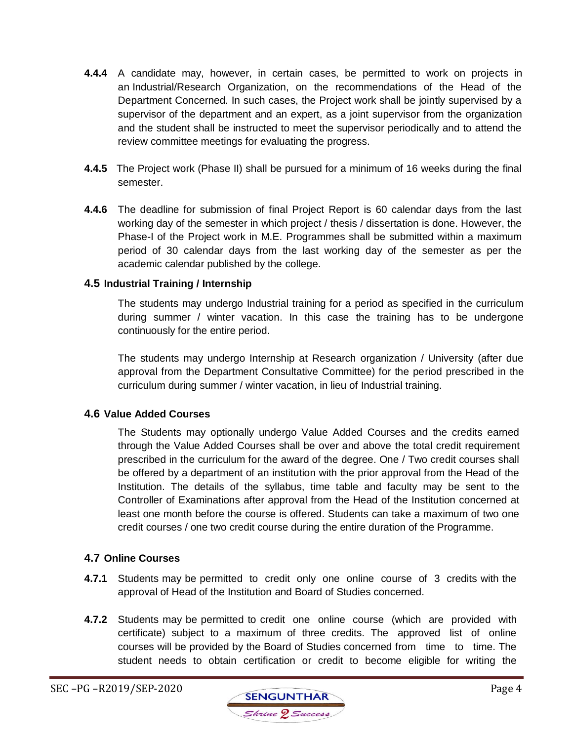- **4.4.4** A candidate may, however, in certain cases, be permitted to work on projects in an Industrial/Research Organization, on the recommendations of the Head of the Department Concerned. In such cases, the Project work shall be jointly supervised by a supervisor of the department and an expert, as a joint supervisor from the organization and the student shall be instructed to meet the supervisor periodically and to attend the review committee meetings for evaluating the progress.
- **4.4.5** The Project work (Phase II) shall be pursued for a minimum of 16 weeks during the final semester.
- **4.4.6** The deadline for submission of final Project Report is 60 calendar days from the last working day of the semester in which project / thesis / dissertation is done. However, the Phase-I of the Project work in M.E. Programmes shall be submitted within a maximum period of 30 calendar days from the last working day of the semester as per the academic calendar published by the college.

### **4.5 Industrial Training / Internship**

The students may undergo Industrial training for a period as specified in the curriculum during summer / winter vacation. In this case the training has to be undergone continuously for the entire period.

The students may undergo Internship at Research organization / University (after due approval from the Department Consultative Committee) for the period prescribed in the curriculum during summer / winter vacation, in lieu of Industrial training.

### **4.6 Value Added Courses**

The Students may optionally undergo Value Added Courses and the credits earned through the Value Added Courses shall be over and above the total credit requirement prescribed in the curriculum for the award of the degree. One / Two credit courses shall be offered by a department of an institution with the prior approval from the Head of the Institution. The details of the syllabus, time table and faculty may be sent to the Controller of Examinations after approval from the Head of the Institution concerned at least one month before the course is offered. Students can take a maximum of two one credit courses / one two credit course during the entire duration of the Programme.

### **4.7 Online Courses**

- **4.7.1** Students may be permitted to credit only one online course of 3 credits with the approval of Head of the Institution and Board of Studies concerned.
- **4.7.2** Students may be permitted to credit one online course (which are provided with certificate) subject to a maximum of three credits. The approved list of online courses will be provided by the Board of Studies concerned from time to time. The student needs to obtain certification or credit to become eligible for writing the

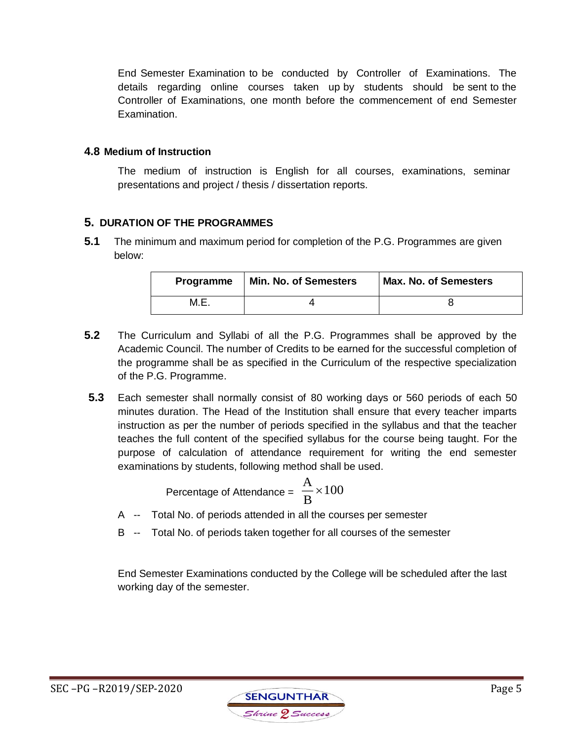End Semester Examination to be conducted by Controller of Examinations. The details regarding online courses taken up by students should be sent to the Controller of Examinations, one month before the commencement of end Semester Examination.

### **4.8 Medium of Instruction**

The medium of instruction is English for all courses, examinations, seminar presentations and project / thesis / dissertation reports.

# **5. DURATION OF THE PROGRAMMES**

**5.1** The minimum and maximum period for completion of the P.G. Programmes are given below:

| Programme | Min. No. of Semesters | <b>Max. No. of Semesters</b> |
|-----------|-----------------------|------------------------------|
| M.E.      |                       |                              |

- **5.2** The Curriculum and Syllabi of all the P.G. Programmes shall be approved by the Academic Council. The number of Credits to be earned for the successful completion of the programme shall be as specified in the Curriculum of the respective specialization of the P.G. Programme.
- **5.3** Each semester shall normally consist of 80 working days or 560 periods of each 50 minutes duration. The Head of the Institution shall ensure that every teacher imparts instruction as per the number of periods specified in the syllabus and that the teacher teaches the full content of the specified syllabus for the course being taught. For the purpose of calculation of attendance requirement for writing the end semester examinations by students, following method shall be used.

Percentage of Attendance = 
$$
\frac{A}{B} \times 100
$$

- A -- Total No. of periods attended in all the courses per semester
- B -- Total No. of periods taken together for all courses of the semester

End Semester Examinations conducted by the College will be scheduled after the last working day of the semester.

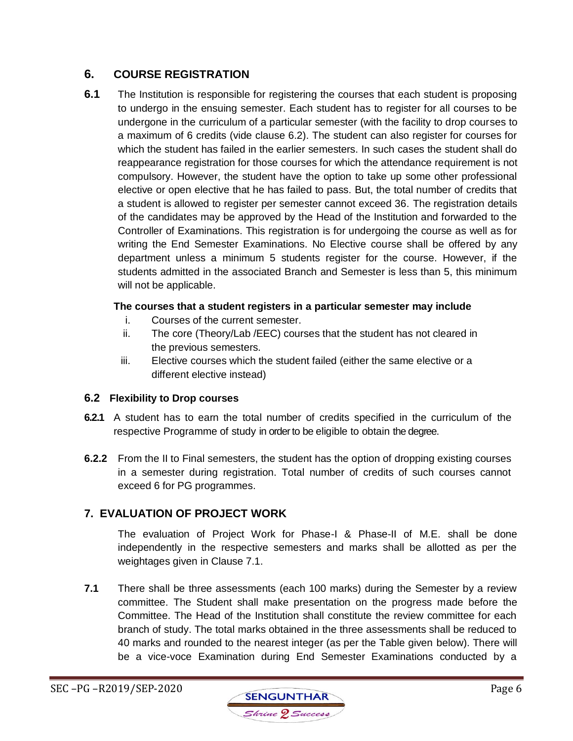# **6. COURSE REGISTRATION**

**6.1** The Institution is responsible for registering the courses that each student is proposing to undergo in the ensuing semester. Each student has to register for all courses to be undergone in the curriculum of a particular semester (with the facility to drop courses to a maximum of 6 credits (vide clause 6.2). The student can also register for courses for which the student has failed in the earlier semesters. In such cases the student shall do reappearance registration for those courses for which the attendance requirement is not compulsory. However, the student have the option to take up some other professional elective or open elective that he has failed to pass. But, the total number of credits that a student is allowed to register per semester cannot exceed 36. The registration details of the candidates may be approved by the Head of the Institution and forwarded to the Controller of Examinations. This registration is for undergoing the course as well as for writing the End Semester Examinations. No Elective course shall be offered by any department unless a minimum 5 students register for the course. However, if the students admitted in the associated Branch and Semester is less than 5, this minimum will not be applicable.

### **The courses that a student registers in a particular semester may include**

- i. Courses of the current semester.
- ii. The core (Theory/Lab /EEC) courses that the student has not cleared in the previous semesters.
- iii. Elective courses which the student failed (either the same elective or a different elective instead)

# **6.2 Flexibility to Drop courses**

- **6.2.1** A student has to earn the total number of credits specified in the curriculum of the respective Programme of study in order to be eligible to obtain the degree.
- **6.2.2** From the II to Final semesters, the student has the option of dropping existing courses in a semester during registration. Total number of credits of such courses cannot exceed 6 for PG programmes.

# **7. EVALUATION OF PROJECT WORK**

The evaluation of Project Work for Phase-I & Phase-II of M.E. shall be done independently in the respective semesters and marks shall be allotted as per the weightages given in Clause 7.1.

**7.1** There shall be three assessments (each 100 marks) during the Semester by a review committee. The Student shall make presentation on the progress made before the Committee. The Head of the Institution shall constitute the review committee for each branch of study. The total marks obtained in the three assessments shall be reduced to 40 marks and rounded to the nearest integer (as per the Table given below). There will be a vice-voce Examination during End Semester Examinations conducted by a

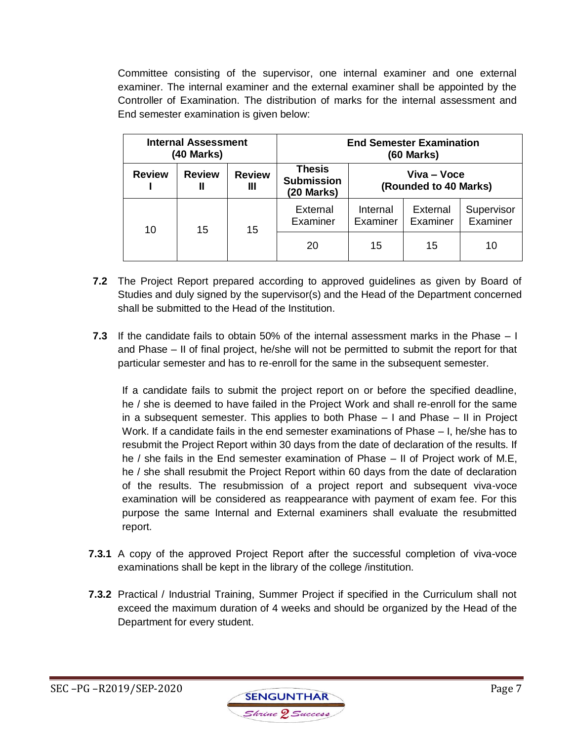Committee consisting of the supervisor, one internal examiner and one external examiner. The internal examiner and the external examiner shall be appointed by the Controller of Examination. The distribution of marks for the internal assessment and End semester examination is given below:

| <b>Internal Assessment</b><br>(40 Marks) |                    | <b>End Semester Examination</b><br>$(60$ Marks) |                                           |                                      |                      |                        |
|------------------------------------------|--------------------|-------------------------------------------------|-------------------------------------------|--------------------------------------|----------------------|------------------------|
| <b>Review</b>                            | <b>Review</b><br>Ш | <b>Review</b><br>Ш                              | Thesis<br><b>Submission</b><br>(20 Marks) | Viva – Voce<br>(Rounded to 40 Marks) |                      |                        |
| 10                                       | 15                 | 15                                              | External<br>Examiner                      | Internal<br>Examiner                 | External<br>Examiner | Supervisor<br>Examiner |
|                                          |                    |                                                 | 20                                        | 15                                   | 15                   | 10                     |

- **7.2** The Project Report prepared according to approved guidelines as given by Board of Studies and duly signed by the supervisor(s) and the Head of the Department concerned shall be submitted to the Head of the Institution.
- **7.3** If the candidate fails to obtain 50% of the internal assessment marks in the Phase I and Phase – II of final project, he/she will not be permitted to submit the report for that particular semester and has to re-enroll for the same in the subsequent semester.

If a candidate fails to submit the project report on or before the specified deadline, he / she is deemed to have failed in the Project Work and shall re-enroll for the same in a subsequent semester. This applies to both Phase – I and Phase – II in Project Work. If a candidate fails in the end semester examinations of Phase – I, he/she has to resubmit the Project Report within 30 days from the date of declaration of the results. If he / she fails in the End semester examination of Phase – II of Project work of M.E, he / she shall resubmit the Project Report within 60 days from the date of declaration of the results. The resubmission of a project report and subsequent viva-voce examination will be considered as reappearance with payment of exam fee. For this purpose the same Internal and External examiners shall evaluate the resubmitted report.

- **7.3.1** A copy of the approved Project Report after the successful completion of viva-voce examinations shall be kept in the library of the college /institution.
- **7.3.2** Practical / Industrial Training, Summer Project if specified in the Curriculum shall not exceed the maximum duration of 4 weeks and should be organized by the Head of the Department for every student.

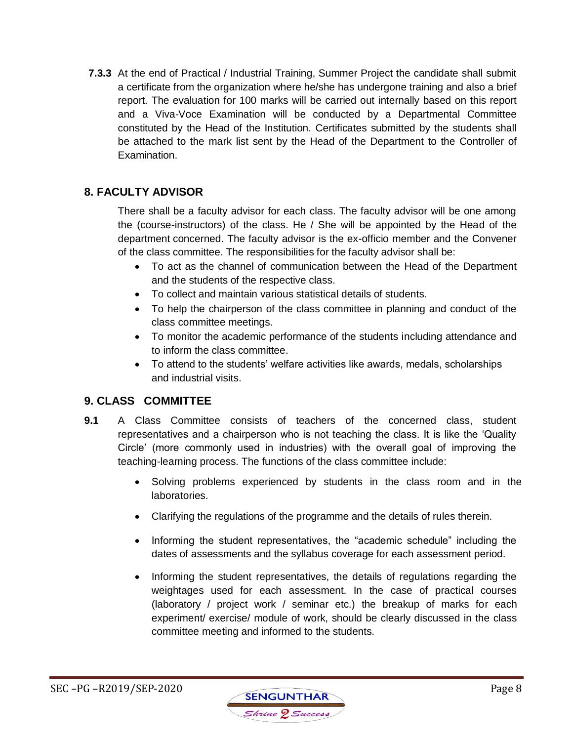**7.3.3** At the end of Practical / Industrial Training, Summer Project the candidate shall submit a certificate from the organization where he/she has undergone training and also a brief report. The evaluation for 100 marks will be carried out internally based on this report and a Viva-Voce Examination will be conducted by a Departmental Committee constituted by the Head of the Institution. Certificates submitted by the students shall be attached to the mark list sent by the Head of the Department to the Controller of Examination.

# **8. FACULTY ADVISOR**

There shall be a faculty advisor for each class. The faculty advisor will be one among the (course-instructors) of the class. He / She will be appointed by the Head of the department concerned. The faculty advisor is the ex-officio member and the Convener of the class committee. The responsibilities for the faculty advisor shall be:

- To act as the channel of communication between the Head of the Department and the students of the respective class.
- To collect and maintain various statistical details of students.
- To help the chairperson of the class committee in planning and conduct of the class committee meetings.
- To monitor the academic performance of the students including attendance and to inform the class committee.
- To attend to the students' welfare activities like awards, medals, scholarships and industrial visits.

# **9. CLASS COMMITTEE**

- **9.1** A Class Committee consists of teachers of the concerned class, student representatives and a chairperson who is not teaching the class. It is like the 'Quality Circle' (more commonly used in industries) with the overall goal of improving the teaching-learning process. The functions of the class committee include:
	- Solving problems experienced by students in the class room and in the laboratories.
	- Clarifying the regulations of the programme and the details of rules therein.
	- Informing the student representatives, the "academic schedule" including the dates of assessments and the syllabus coverage for each assessment period.
	- Informing the student representatives, the details of regulations regarding the weightages used for each assessment. In the case of practical courses (laboratory / project work / seminar etc.) the breakup of marks for each experiment/ exercise/ module of work, should be clearly discussed in the class committee meeting and informed to the students.

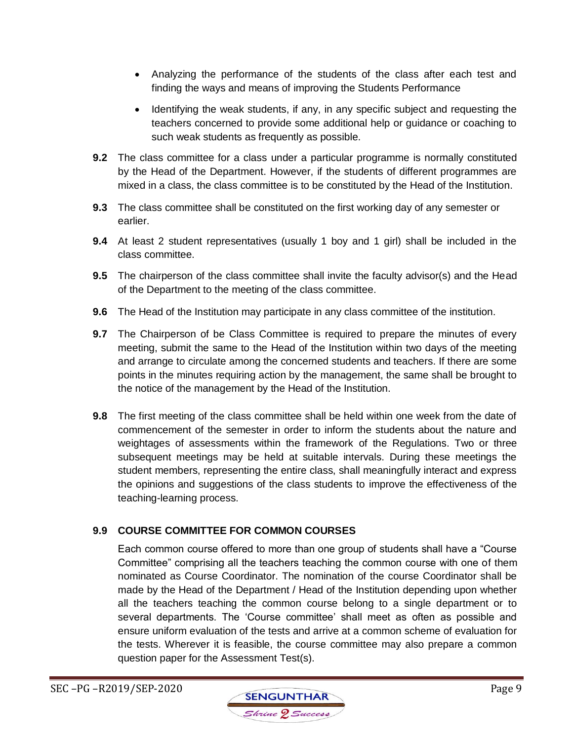- Analyzing the performance of the students of the class after each test and finding the ways and means of improving the Students Performance
- Identifying the weak students, if any, in any specific subject and requesting the teachers concerned to provide some additional help or guidance or coaching to such weak students as frequently as possible.
- **9.2** The class committee for a class under a particular programme is normally constituted by the Head of the Department. However, if the students of different programmes are mixed in a class, the class committee is to be constituted by the Head of the Institution.
- **9.3** The class committee shall be constituted on the first working day of any semester or earlier.
- **9.4** At least 2 student representatives (usually 1 boy and 1 girl) shall be included in the class committee.
- **9.5** The chairperson of the class committee shall invite the faculty advisor(s) and the Head of the Department to the meeting of the class committee.
- **9.6** The Head of the Institution may participate in any class committee of the institution.
- **9.7** The Chairperson of be Class Committee is required to prepare the minutes of every meeting, submit the same to the Head of the Institution within two days of the meeting and arrange to circulate among the concerned students and teachers. If there are some points in the minutes requiring action by the management, the same shall be brought to the notice of the management by the Head of the Institution.
- **9.8** The first meeting of the class committee shall be held within one week from the date of commencement of the semester in order to inform the students about the nature and weightages of assessments within the framework of the Regulations. Two or three subsequent meetings may be held at suitable intervals. During these meetings the student members, representing the entire class, shall meaningfully interact and express the opinions and suggestions of the class students to improve the effectiveness of the teaching-learning process.

# **9.9 COURSE COMMITTEE FOR COMMON COURSES**

Each common course offered to more than one group of students shall have a "Course Committee" comprising all the teachers teaching the common course with one of them nominated as Course Coordinator. The nomination of the course Coordinator shall be made by the Head of the Department / Head of the Institution depending upon whether all the teachers teaching the common course belong to a single department or to several departments. The 'Course committee' shall meet as often as possible and ensure uniform evaluation of the tests and arrive at a common scheme of evaluation for the tests. Wherever it is feasible, the course committee may also prepare a common question paper for the Assessment Test(s).

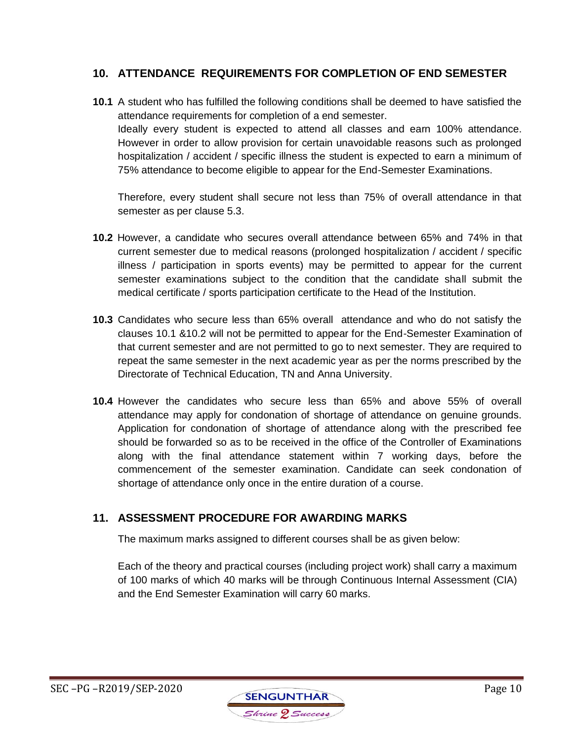# **10. ATTENDANCE REQUIREMENTS FOR COMPLETION OF END SEMESTER**

**10.1** A student who has fulfilled the following conditions shall be deemed to have satisfied the attendance requirements for completion of a end semester. Ideally every student is expected to attend all classes and earn 100% attendance. However in order to allow provision for certain unavoidable reasons such as prolonged hospitalization / accident / specific illness the student is expected to earn a minimum of 75% attendance to become eligible to appear for the End-Semester Examinations.

Therefore, every student shall secure not less than 75% of overall attendance in that semester as per clause 5.3.

- **10.2** However, a candidate who secures overall attendance between 65% and 74% in that current semester due to medical reasons (prolonged hospitalization / accident / specific illness / participation in sports events) may be permitted to appear for the current semester examinations subject to the condition that the candidate shall submit the medical certificate / sports participation certificate to the Head of the Institution.
- **10.3** Candidates who secure less than 65% overall attendance and who do not satisfy the clauses 10.1 &10.2 will not be permitted to appear for the End-Semester Examination of that current semester and are not permitted to go to next semester. They are required to repeat the same semester in the next academic year as per the norms prescribed by the Directorate of Technical Education, TN and Anna University.
- **10.4** However the candidates who secure less than 65% and above 55% of overall attendance may apply for condonation of shortage of attendance on genuine grounds. Application for condonation of shortage of attendance along with the prescribed fee should be forwarded so as to be received in the office of the Controller of Examinations along with the final attendance statement within 7 working days, before the commencement of the semester examination. Candidate can seek condonation of shortage of attendance only once in the entire duration of a course.

# **11. ASSESSMENT PROCEDURE FOR AWARDING MARKS**

The maximum marks assigned to different courses shall be as given below:

Each of the theory and practical courses (including project work) shall carry a maximum of 100 marks of which 40 marks will be through Continuous Internal Assessment (CIA) and the End Semester Examination will carry 60 marks.

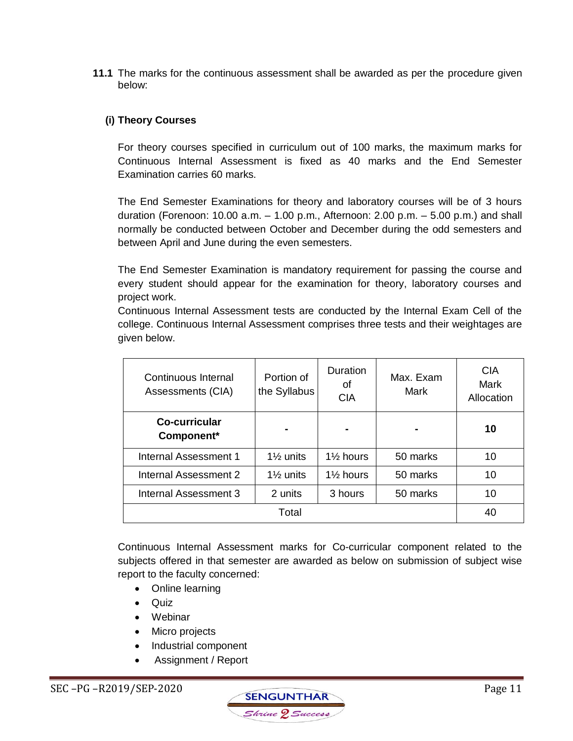**11.1** The marks for the continuous assessment shall be awarded as per the procedure given below:

### **(i) Theory Courses**

For theory courses specified in curriculum out of 100 marks, the maximum marks for Continuous Internal Assessment is fixed as 40 marks and the End Semester Examination carries 60 marks.

The End Semester Examinations for theory and laboratory courses will be of 3 hours duration (Forenoon: 10.00 a.m. – 1.00 p.m., Afternoon: 2.00 p.m. – 5.00 p.m.) and shall normally be conducted between October and December during the odd semesters and between April and June during the even semesters.

The End Semester Examination is mandatory requirement for passing the course and every student should appear for the examination for theory, laboratory courses and project work.

Continuous Internal Assessment tests are conducted by the Internal Exam Cell of the college. Continuous Internal Assessment comprises three tests and their weightages are given below.

| Continuous Internal<br>Assessments (CIA) | Portion of<br>the Syllabus | <b>Duration</b><br>οf<br><b>CIA</b> | Max. Exam<br>Mark | <b>CIA</b><br>Mark<br>Allocation |
|------------------------------------------|----------------------------|-------------------------------------|-------------------|----------------------------------|
| Co-curricular<br>Component*              |                            |                                     |                   | 10                               |
| <b>Internal Assessment 1</b>             | $1\frac{1}{2}$ units       | $1\frac{1}{2}$ hours                | 50 marks          | 10                               |
| Internal Assessment 2                    | $1\%$ units                | $1\frac{1}{2}$ hours                | 50 marks          | 10                               |
| Internal Assessment 3                    | 2 units                    | 3 hours                             | 50 marks          | 10                               |
| Total                                    |                            |                                     |                   | 40                               |

Continuous Internal Assessment marks for Co-curricular component related to the subjects offered in that semester are awarded as below on submission of subject wise report to the faculty concerned:

- Online learning
- Quiz
- Webinar
- Micro projects
- Industrial component
- Assignment / Report

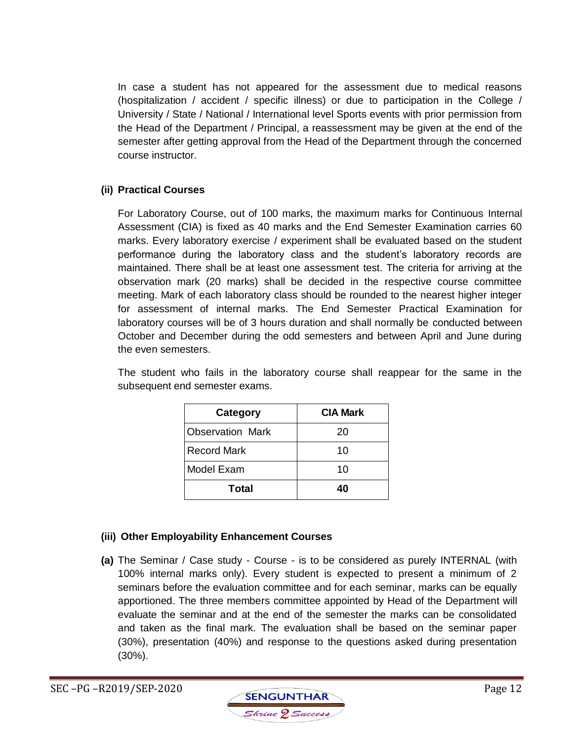In case a student has not appeared for the assessment due to medical reasons (hospitalization / accident / specific illness) or due to participation in the College / University / State / National / International level Sports events with prior permission from the Head of the Department / Principal, a reassessment may be given at the end of the semester after getting approval from the Head of the Department through the concerned course instructor.

### **(ii) Practical Courses**

For Laboratory Course, out of 100 marks, the maximum marks for Continuous Internal Assessment (CIA) is fixed as 40 marks and the End Semester Examination carries 60 marks. Every laboratory exercise / experiment shall be evaluated based on the student performance during the laboratory class and the student's laboratory records are maintained. There shall be at least one assessment test. The criteria for arriving at the observation mark (20 marks) shall be decided in the respective course committee meeting. Mark of each laboratory class should be rounded to the nearest higher integer for assessment of internal marks. The End Semester Practical Examination for laboratory courses will be of 3 hours duration and shall normally be conducted between October and December during the odd semesters and between April and June during the even semesters.

The student who fails in the laboratory course shall reappear for the same in the subsequent end semester exams.

| Category                | <b>CIA Mark</b> |  |
|-------------------------|-----------------|--|
| <b>Observation Mark</b> | 20              |  |
| <b>Record Mark</b>      | 10              |  |
| Model Exam              | 10              |  |
| Total                   | 40              |  |

### **(iii) Other Employability Enhancement Courses**

**(a)** The Seminar / Case study - Course - is to be considered as purely INTERNAL (with 100% internal marks only). Every student is expected to present a minimum of 2 seminars before the evaluation committee and for each seminar, marks can be equally apportioned. The three members committee appointed by Head of the Department will evaluate the seminar and at the end of the semester the marks can be consolidated and taken as the final mark. The evaluation shall be based on the seminar paper (30%), presentation (40%) and response to the questions asked during presentation (30%).

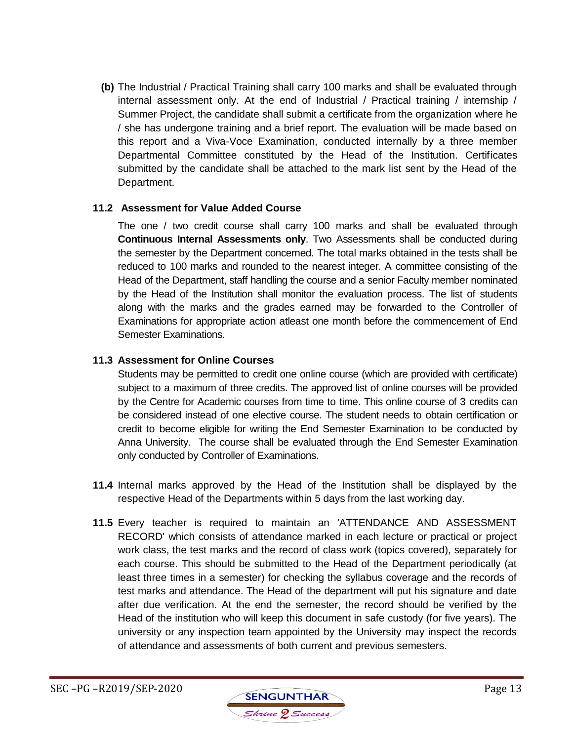**(b)** The Industrial / Practical Training shall carry 100 marks and shall be evaluated through internal assessment only. At the end of Industrial / Practical training / internship / Summer Project, the candidate shall submit a certificate from the organization where he / she has undergone training and a brief report. The evaluation will be made based on this report and a Viva-Voce Examination, conducted internally by a three member Departmental Committee constituted by the Head of the Institution. Certificates submitted by the candidate shall be attached to the mark list sent by the Head of the Department.

### **11.2 Assessment for Value Added Course**

The one / two credit course shall carry 100 marks and shall be evaluated through **Continuous Internal Assessments only**. Two Assessments shall be conducted during the semester by the Department concerned. The total marks obtained in the tests shall be reduced to 100 marks and rounded to the nearest integer. A committee consisting of the Head of the Department, staff handling the course and a senior Faculty member nominated by the Head of the Institution shall monitor the evaluation process. The list of students along with the marks and the grades earned may be forwarded to the Controller of Examinations for appropriate action atleast one month before the commencement of End Semester Examinations.

#### **11.3 Assessment for Online Courses**

Students may be permitted to credit one online course (which are provided with certificate) subject to a maximum of three credits. The approved list of online courses will be provided by the Centre for Academic courses from time to time. This online course of 3 credits can be considered instead of one elective course. The student needs to obtain certification or credit to become eligible for writing the End Semester Examination to be conducted by Anna University. The course shall be evaluated through the End Semester Examination only conducted by Controller of Examinations.

- **11.4** Internal marks approved by the Head of the Institution shall be displayed by the respective Head of the Departments within 5 days from the last working day.
- **11.5** Every teacher is required to maintain an 'ATTENDANCE AND ASSESSMENT RECORD' which consists of attendance marked in each lecture or practical or project work class, the test marks and the record of class work (topics covered), separately for each course. This should be submitted to the Head of the Department periodically (at least three times in a semester) for checking the syllabus coverage and the records of test marks and attendance. The Head of the department will put his signature and date after due verification. At the end the semester, the record should be verified by the Head of the institution who will keep this document in safe custody (for five years). The university or any inspection team appointed by the University may inspect the records of attendance and assessments of both current and previous semesters.

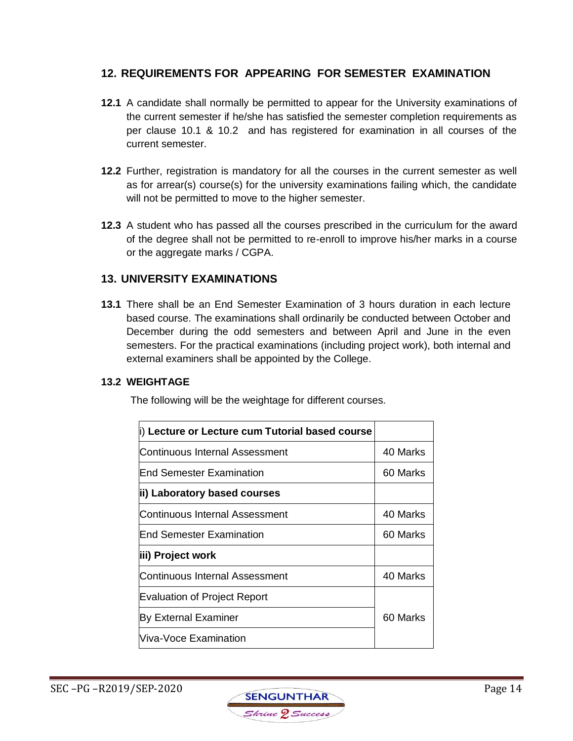# **12. REQUIREMENTS FOR APPEARING FOR SEMESTER EXAMINATION**

- **12.1** A candidate shall normally be permitted to appear for the University examinations of the current semester if he/she has satisfied the semester completion requirements as per clause 10.1 & 10.2 and has registered for examination in all courses of the current semester.
- **12.2** Further, registration is mandatory for all the courses in the current semester as well as for arrear(s) course(s) for the university examinations failing which, the candidate will not be permitted to move to the higher semester.
- **12.3** A student who has passed all the courses prescribed in the curriculum for the award of the degree shall not be permitted to re-enroll to improve his/her marks in a course or the aggregate marks / CGPA.

### **13. UNIVERSITY EXAMINATIONS**

**13.1** There shall be an End Semester Examination of 3 hours duration in each lecture based course. The examinations shall ordinarily be conducted between October and December during the odd semesters and between April and June in the even semesters. For the practical examinations (including project work), both internal and external examiners shall be appointed by the College.

#### **13.2 WEIGHTAGE**

The following will be the weightage for different courses.

| i) Lecture or Lecture cum Tutorial based course |          |
|-------------------------------------------------|----------|
| Continuous Internal Assessment                  | 40 Marks |
| End Semester Examination                        | 60 Marks |
| ii) Laboratory based courses                    |          |
| Continuous Internal Assessment                  | 40 Marks |
| <b>End Semester Examination</b>                 | 60 Marks |
| iii) Project work                               |          |
| Continuous Internal Assessment                  | 40 Marks |
| <b>Evaluation of Project Report</b>             |          |
| <b>By External Examiner</b>                     | 60 Marks |
| Viva-Voce Examination                           |          |

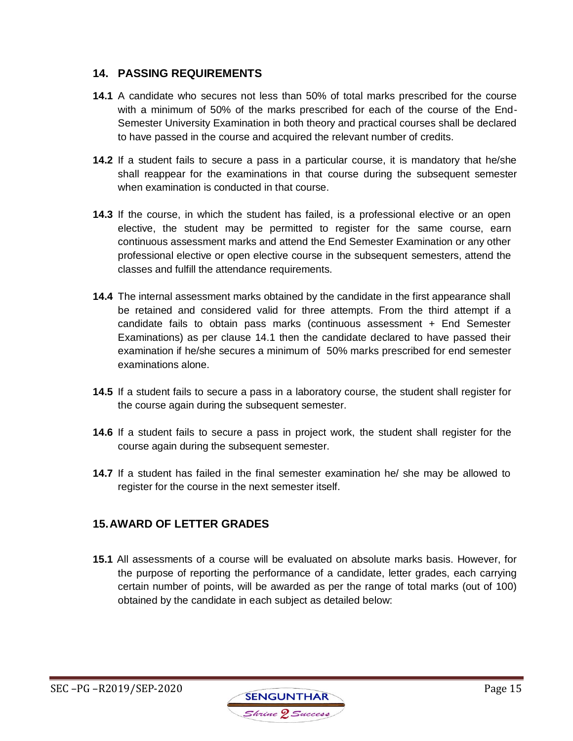# **14. PASSING REQUIREMENTS**

- **14.1** A candidate who secures not less than 50% of total marks prescribed for the course with a minimum of 50% of the marks prescribed for each of the course of the End-Semester University Examination in both theory and practical courses shall be declared to have passed in the course and acquired the relevant number of credits.
- **14.2** If a student fails to secure a pass in a particular course, it is mandatory that he/she shall reappear for the examinations in that course during the subsequent semester when examination is conducted in that course.
- **14.3** If the course, in which the student has failed, is a professional elective or an open elective, the student may be permitted to register for the same course, earn continuous assessment marks and attend the End Semester Examination or any other professional elective or open elective course in the subsequent semesters, attend the classes and fulfill the attendance requirements.
- **14.4** The internal assessment marks obtained by the candidate in the first appearance shall be retained and considered valid for three attempts. From the third attempt if a candidate fails to obtain pass marks (continuous assessment + End Semester Examinations) as per clause 14.1 then the candidate declared to have passed their examination if he/she secures a minimum of 50% marks prescribed for end semester examinations alone.
- **14.5** If a student fails to secure a pass in a laboratory course, the student shall register for the course again during the subsequent semester.
- **14.6** If a student fails to secure a pass in project work, the student shall register for the course again during the subsequent semester.
- **14.7** If a student has failed in the final semester examination he/ she may be allowed to register for the course in the next semester itself.

# **15.AWARD OF LETTER GRADES**

**15.1** All assessments of a course will be evaluated on absolute marks basis. However, for the purpose of reporting the performance of a candidate, letter grades, each carrying certain number of points, will be awarded as per the range of total marks (out of 100) obtained by the candidate in each subject as detailed below:

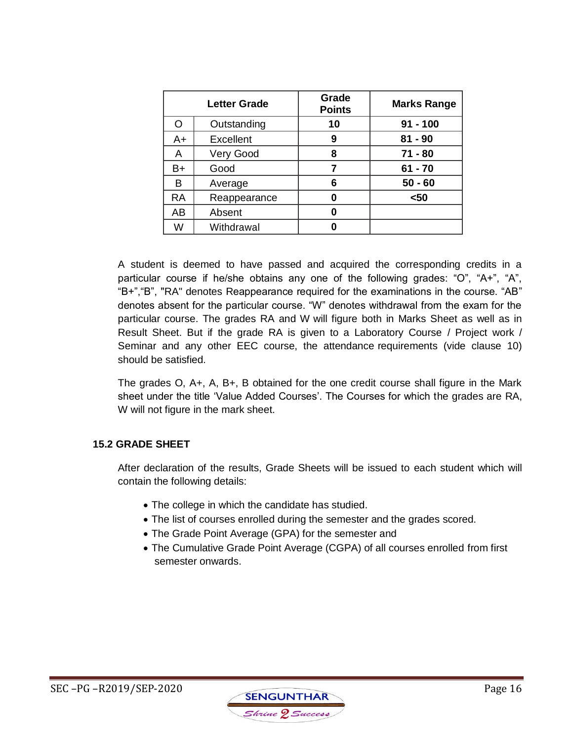| <b>Letter Grade</b> |                  | Grade<br><b>Points</b> | <b>Marks Range</b> |
|---------------------|------------------|------------------------|--------------------|
|                     | Outstanding      | 10                     | $91 - 100$         |
| A+                  | <b>Excellent</b> | 9                      | $81 - 90$          |
| A                   | Very Good        | 8                      | $71 - 80$          |
| B+                  | Good             |                        | $61 - 70$          |
| В                   | Average          | 6                      | $50 - 60$          |
| <b>RA</b>           | Reappearance     | 0                      | $50$               |
| AB                  | Absent           |                        |                    |
| W                   | Withdrawal       |                        |                    |

A student is deemed to have passed and acquired the corresponding credits in a particular course if he/she obtains any one of the following grades: "O", "A+", "A", "B+","B", "RA" denotes Reappearance required for the examinations in the course. "AB" denotes absent for the particular course. "W" denotes withdrawal from the exam for the particular course. The grades RA and W will figure both in Marks Sheet as well as in Result Sheet. But if the grade RA is given to a Laboratory Course / Project work / Seminar and any other EEC course, the attendance requirements (vide clause 10) should be satisfied.

The grades O, A+, A, B+, B obtained for the one credit course shall figure in the Mark sheet under the title 'Value Added Courses'. The Courses for which the grades are RA, W will not figure in the mark sheet.

### **15.2 GRADE SHEET**

After declaration of the results, Grade Sheets will be issued to each student which will contain the following details:

- The college in which the candidate has studied.
- The list of courses enrolled during the semester and the grades scored.
- The Grade Point Average (GPA) for the semester and
- The Cumulative Grade Point Average (CGPA) of all courses enrolled from first semester onwards.

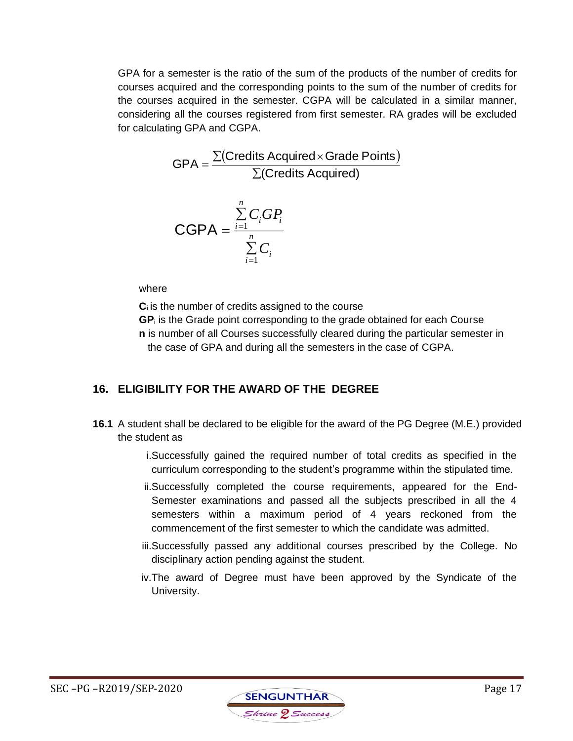GPA for a semester is the ratio of the sum of the products of the number of credits for courses acquired and the corresponding points to the sum of the number of credits for the courses acquired in the semester. CGPA will be calculated in a similar manner, considering all the courses registered from first semester. RA grades will be excluded for calculating GPA and CGPA.

$$
GPA = \frac{\sum (Credits \text{ Acquired} \times \text{Grade Points})}{\sum (Credits \text{ Acquired})}
$$

$$
CGPA = \frac{i=1}{\sum_{i=1}^{n} C_i}
$$

where

**Ci** is the number of credits assigned to the course

**GP**<sup>i</sup> is the Grade point corresponding to the grade obtained for each Course **n** is number of all Courses successfully cleared during the particular semester in the case of GPA and during all the semesters in the case of CGPA.

# **16. ELIGIBILITY FOR THE AWARD OF THE DEGREE**

- **16.1** A student shall be declared to be eligible for the award of the PG Degree (M.E.) provided the student as
	- i.Successfully gained the required number of total credits as specified in the curriculum corresponding to the student's programme within the stipulated time.
	- ii.Successfully completed the course requirements, appeared for the End-Semester examinations and passed all the subjects prescribed in all the 4 semesters within a maximum period of 4 years reckoned from the commencement of the first semester to which the candidate was admitted.
	- iii.Successfully passed any additional courses prescribed by the College. No disciplinary action pending against the student.
	- iv.The award of Degree must have been approved by the Syndicate of the University.

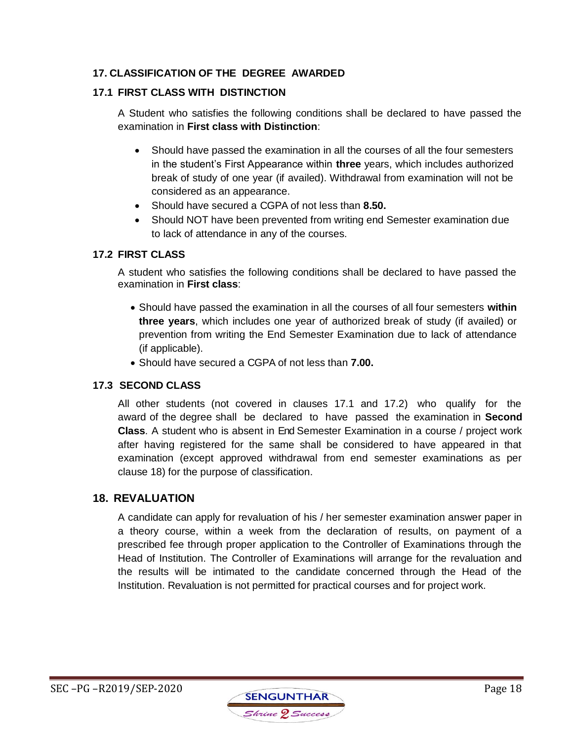### **17. CLASSIFICATION OF THE DEGREE AWARDED**

### **17.1 FIRST CLASS WITH DISTINCTION**

A Student who satisfies the following conditions shall be declared to have passed the examination in **First class with Distinction**:

- Should have passed the examination in all the courses of all the four semesters in the student's First Appearance within **three** years, which includes authorized break of study of one year (if availed). Withdrawal from examination will not be considered as an appearance.
- Should have secured a CGPA of not less than **8.50.**
- Should NOT have been prevented from writing end Semester examination due to lack of attendance in any of the courses.

### **17.2 FIRST CLASS**

A student who satisfies the following conditions shall be declared to have passed the examination in **First class**:

- Should have passed the examination in all the courses of all four semesters **within three years**, which includes one year of authorized break of study (if availed) or prevention from writing the End Semester Examination due to lack of attendance (if applicable).
- Should have secured a CGPA of not less than **7.00.**

# **17.3 SECOND CLASS**

All other students (not covered in clauses 17.1 and 17.2) who qualify for the award of the degree shall be declared to have passed the examination in **Second Class**. A student who is absent in End Semester Examination in a course / project work after having registered for the same shall be considered to have appeared in that examination (except approved withdrawal from end semester examinations as per clause 18) for the purpose of classification.

# **18. REVALUATION**

A candidate can apply for revaluation of his / her semester examination answer paper in a theory course, within a week from the declaration of results, on payment of a prescribed fee through proper application to the Controller of Examinations through the Head of Institution. The Controller of Examinations will arrange for the revaluation and the results will be intimated to the candidate concerned through the Head of the Institution. Revaluation is not permitted for practical courses and for project work.

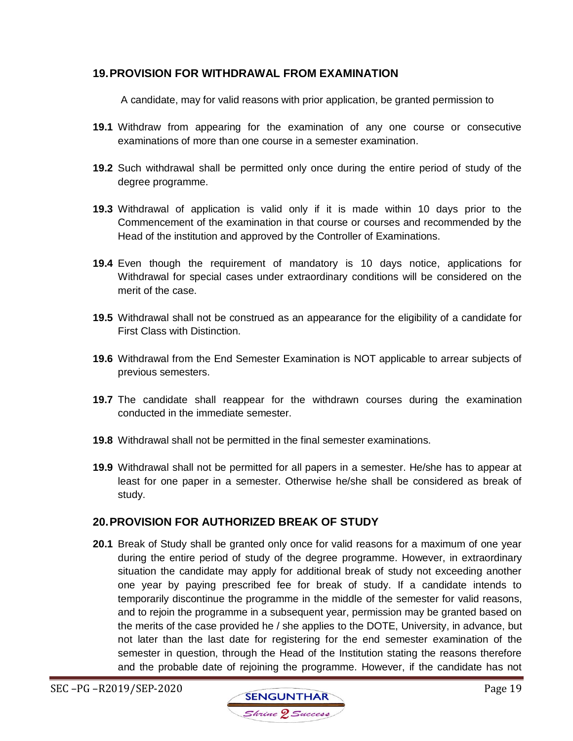# **19.PROVISION FOR WITHDRAWAL FROM EXAMINATION**

A candidate, may for valid reasons with prior application, be granted permission to

- **19.1** Withdraw from appearing for the examination of any one course or consecutive examinations of more than one course in a semester examination.
- **19.2** Such withdrawal shall be permitted only once during the entire period of study of the degree programme.
- **19.3** Withdrawal of application is valid only if it is made within 10 days prior to the Commencement of the examination in that course or courses and recommended by the Head of the institution and approved by the Controller of Examinations.
- **19.4** Even though the requirement of mandatory is 10 days notice, applications for Withdrawal for special cases under extraordinary conditions will be considered on the merit of the case.
- **19.5** Withdrawal shall not be construed as an appearance for the eligibility of a candidate for First Class with Distinction.
- **19.6** Withdrawal from the End Semester Examination is NOT applicable to arrear subjects of previous semesters.
- **19.7** The candidate shall reappear for the withdrawn courses during the examination conducted in the immediate semester.
- **19.8** Withdrawal shall not be permitted in the final semester examinations.
- **19.9** Withdrawal shall not be permitted for all papers in a semester. He/she has to appear at least for one paper in a semester. Otherwise he/she shall be considered as break of study.

### **20.PROVISION FOR AUTHORIZED BREAK OF STUDY**

**20.1** Break of Study shall be granted only once for valid reasons for a maximum of one year during the entire period of study of the degree programme. However, in extraordinary situation the candidate may apply for additional break of study not exceeding another one year by paying prescribed fee for break of study. If a candidate intends to temporarily discontinue the programme in the middle of the semester for valid reasons, and to rejoin the programme in a subsequent year, permission may be granted based on the merits of the case provided he / she applies to the DOTE, University, in advance, but not later than the last date for registering for the end semester examination of the semester in question, through the Head of the Institution stating the reasons therefore and the probable date of rejoining the programme. However, if the candidate has not